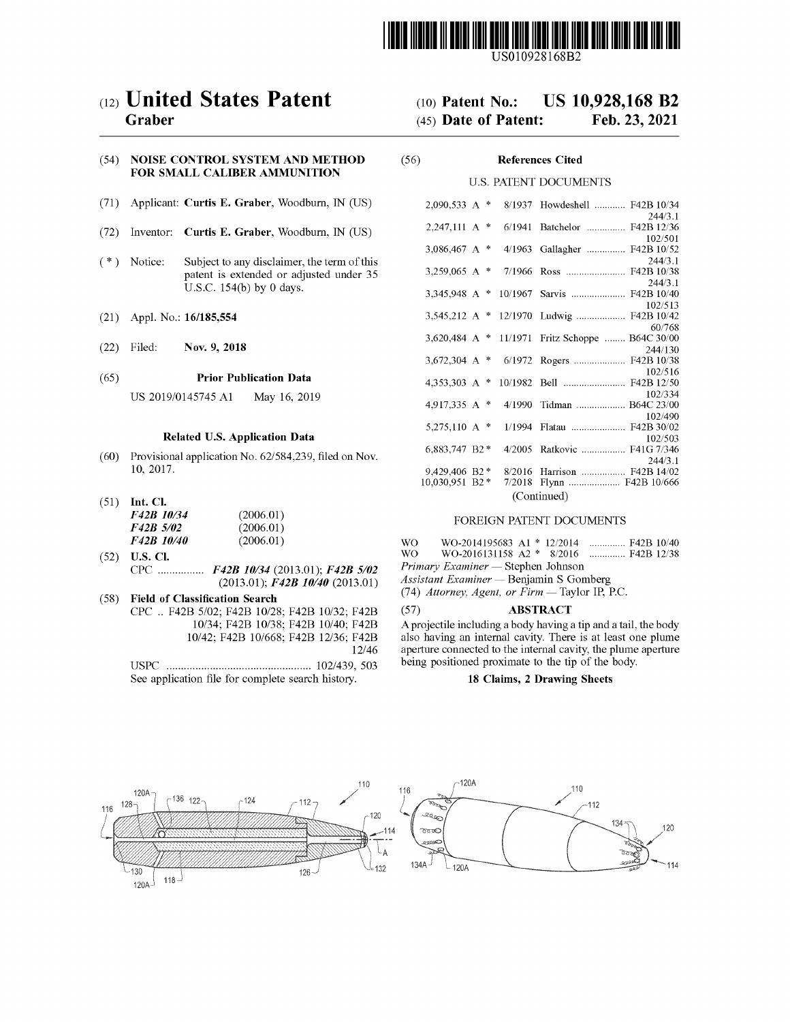

USO10928168B2

# (54) NOISE CONTROL SYSTEM AND METHOD (56) References Cited FOR SMALL CALIBER AMMUNITION U.S. PATENT DOCUMENTS

- (71) Applicant: Curtis E. Graber, Woodburn, IN (US)
- (72) Inventor: Curtis E. Graber, Woodburn, IN (US)
- (\*) Notice: Subject to any disclaimer, the term of this patent is extended or adjusted under 35  $3,259,065 \text{ A}$  \* 7/1966 Ross<br>U.S.C. 154(b) by 0 days.  $3,345,948 \text{ A}$  \* 10/1967 Sarvis
- $( 21 )$  Appl. No.: 16/185,554
- 

# (65) **Prior Publication Data**  $US 2019/0145745 A1$  **May 16, 2019**

## Related U.S. Application Data

- $(60)$  Provisional application No.  $62/584,239$ , filed on Nov. 10, 2017.
- $(51)$  Int. Cl.

| <i>F42B 10/34</i> | (2006.01) |
|-------------------|-----------|
| <i>F42B 5/02</i>  | (2006.01) |
| <i>F42B 10/40</i> | (2006.01) |

- ( 52 ) U.S. CI . CPC F42B 10/34 ( 2013.01 ) ; F42B 5/02  $(2013.01)$ ;  $F42B10/40$   $(2013.01)$
- (58) Field of Classification Search CPC .. F42B 5/02; F42B 10/28; F42B 10/32; F42B 10/34; F42B 10/38; F42B 10/40; F42B 10/42; F42B 10/668; F42B 12/36; F42B 12/46 USPC 102/439 , 503 See application file for complete search history.

# (12) United States Patent (10) Patent No.: US 10,928,168 B2<br>Graber (45) Date of Patent: Feb. 23, 2021  $(45)$  Date of Patent:

|                                    |                            |                                                                                                                                                                                                                                                                                                                                                               |             |                                                                                                                                | 8/1937 Howdeshell  F42B 10/34                                                                                                                          |
|------------------------------------|----------------------------|---------------------------------------------------------------------------------------------------------------------------------------------------------------------------------------------------------------------------------------------------------------------------------------------------------------------------------------------------------------|-------------|--------------------------------------------------------------------------------------------------------------------------------|--------------------------------------------------------------------------------------------------------------------------------------------------------|
|                                    |                            |                                                                                                                                                                                                                                                                                                                                                               |             |                                                                                                                                | 244/3.1                                                                                                                                                |
|                                    |                            |                                                                                                                                                                                                                                                                                                                                                               |             |                                                                                                                                | 6/1941 Batchelor  F42B 12/36                                                                                                                           |
|                                    |                            |                                                                                                                                                                                                                                                                                                                                                               |             |                                                                                                                                | 102/501<br>4/1963 Gallagher  F42B 10/52                                                                                                                |
|                                    |                            |                                                                                                                                                                                                                                                                                                                                                               |             |                                                                                                                                | 244/3.1                                                                                                                                                |
| $(*)$                              |                            |                                                                                                                                                                                                                                                                                                                                                               |             |                                                                                                                                | 7/1966 Ross  F42B 10/38                                                                                                                                |
|                                    | U.S.C. $154(b)$ by 0 days. |                                                                                                                                                                                                                                                                                                                                                               |             |                                                                                                                                | 244/3.1                                                                                                                                                |
|                                    |                            |                                                                                                                                                                                                                                                                                                                                                               |             |                                                                                                                                |                                                                                                                                                        |
|                                    |                            |                                                                                                                                                                                                                                                                                                                                                               |             |                                                                                                                                | 102/513                                                                                                                                                |
|                                    |                            |                                                                                                                                                                                                                                                                                                                                                               |             |                                                                                                                                |                                                                                                                                                        |
|                                    |                            |                                                                                                                                                                                                                                                                                                                                                               |             |                                                                                                                                | 60/768                                                                                                                                                 |
| Filed:                             |                            |                                                                                                                                                                                                                                                                                                                                                               |             |                                                                                                                                | 244/130                                                                                                                                                |
|                                    |                            |                                                                                                                                                                                                                                                                                                                                                               |             |                                                                                                                                |                                                                                                                                                        |
|                                    |                            |                                                                                                                                                                                                                                                                                                                                                               |             |                                                                                                                                | 102/516                                                                                                                                                |
|                                    |                            |                                                                                                                                                                                                                                                                                                                                                               |             |                                                                                                                                |                                                                                                                                                        |
| US 2019/0145745 A1<br>May 16, 2019 |                            |                                                                                                                                                                                                                                                                                                                                                               |             |                                                                                                                                | 102/334                                                                                                                                                |
|                                    |                            |                                                                                                                                                                                                                                                                                                                                                               |             |                                                                                                                                | 4/1990 Tidman  B64C 23/00                                                                                                                              |
|                                    |                            |                                                                                                                                                                                                                                                                                                                                                               |             |                                                                                                                                | 102/490<br>1/1994 Flatau  F42B 30/02                                                                                                                   |
|                                    |                            |                                                                                                                                                                                                                                                                                                                                                               |             |                                                                                                                                | 102/503                                                                                                                                                |
|                                    |                            |                                                                                                                                                                                                                                                                                                                                                               |             |                                                                                                                                | 4/2005 Ratkovic  F41G 7/346                                                                                                                            |
|                                    |                            |                                                                                                                                                                                                                                                                                                                                                               |             |                                                                                                                                | 244/3.1                                                                                                                                                |
|                                    |                            |                                                                                                                                                                                                                                                                                                                                                               |             |                                                                                                                                | 8/2016 Harrison  F42B 14/02                                                                                                                            |
|                                    |                            |                                                                                                                                                                                                                                                                                                                                                               |             |                                                                                                                                | 7/2018 Flynn  F42B 10/666                                                                                                                              |
| (51) Int Cl                        |                            |                                                                                                                                                                                                                                                                                                                                                               | (Continued) |                                                                                                                                |                                                                                                                                                        |
|                                    | Notice:<br>10, 2017.       | Applicant: Curtis E. Graber, Woodburn, IN (US)<br>Inventor: Curtis E. Graber, Woodburn, IN (US)<br>Subject to any disclaimer, the term of this<br>patent is extended or adjusted under 35<br>Appl. No.: 16/185,554<br>Nov. 9, 2018<br><b>Prior Publication Data</b><br>Related U.S. Application Data<br>Provisional application No. 62/584,239, filed on Nov. |             | 3,086,467 A $*$<br>5,275,110 A $*$<br>$6,883,747$ B <sub>2</sub> <sup>*</sup><br>9.429.406 B2 $*$<br>$10,030,951 \text{ B2}$ * | 2.090.533 A $*$<br>$2,247,111 \text{ A}$ *<br>3,259,065 A $*$<br>3,620,484 A * 11/1971 Fritz Schoppe  B64C 30/00<br>3,672,304 A $*$<br>4.917.335 A $*$ |

## FOREIGN PATENT DOCUMENTS

| WO.                                               | WO-2014195683 A1 * 12/2014  F42B 10/40 |  |  |  |
|---------------------------------------------------|----------------------------------------|--|--|--|
| WO.                                               | WO-2016131158 A2 * 8/2016  F42B 12/38  |  |  |  |
| <i>Primary Examiner</i> — Stephen Johnson         |                                        |  |  |  |
| <i>Assistant Examiner</i> — Benjamin S Gomberg    |                                        |  |  |  |
| $(74)$ Attorney, Agent, or Firm — Taylor IP, P.C. |                                        |  |  |  |
|                                                   |                                        |  |  |  |

(57) **ABSTRACT**<br>A projectile including a body having a tip and a tail, the body also having an internal cavity. There is at least one plume<br>aperture connected to the internal cavity, the plume aperture<br>being positioned proximate to the tip of the body.

## 18 Claims, 2 Drawing Sheets

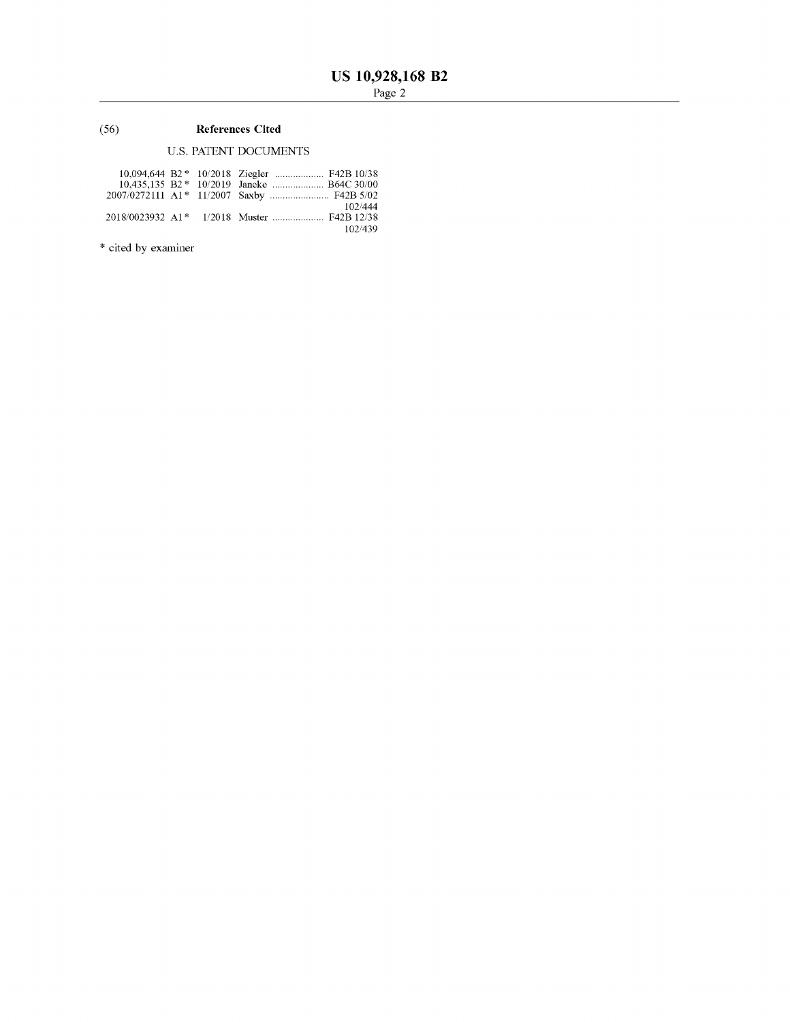# ( 56 ) References Cited

## U.S. PATENT DOCUMENTS

|  | 10,094,644 B2 * 10/2018 Ziegler  F42B 10/38 |
|--|---------------------------------------------|
|  |                                             |
|  |                                             |
|  | 102/444                                     |
|  |                                             |
|  | 102/439                                     |

\* cited by examiner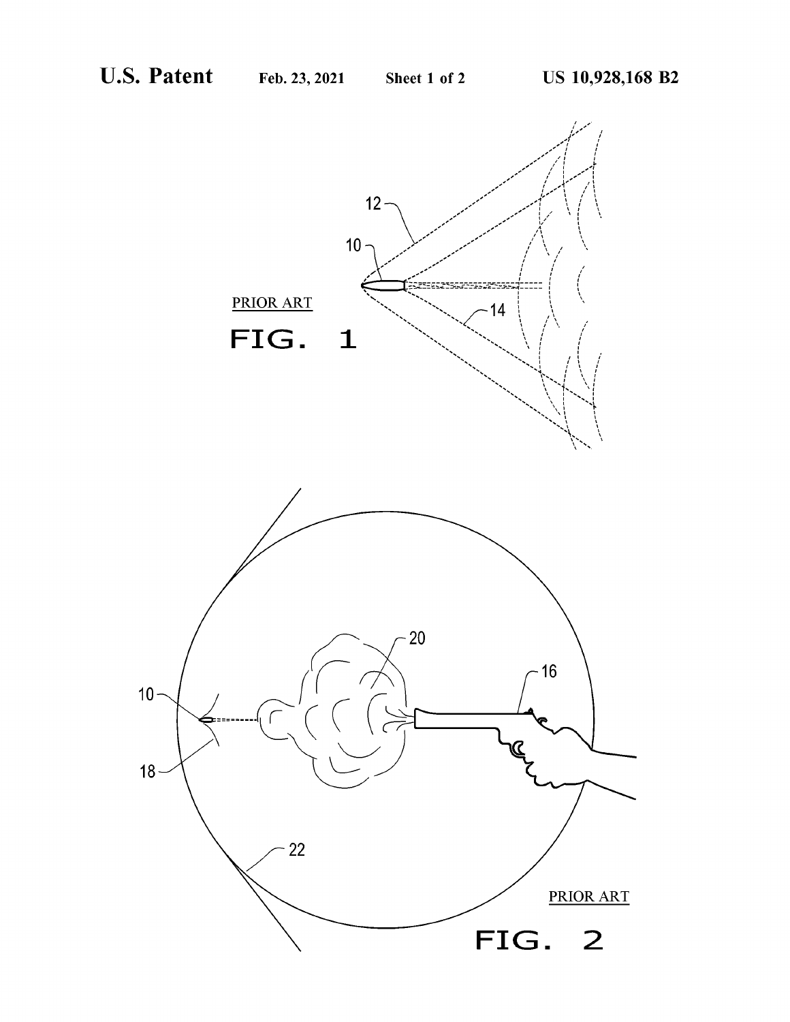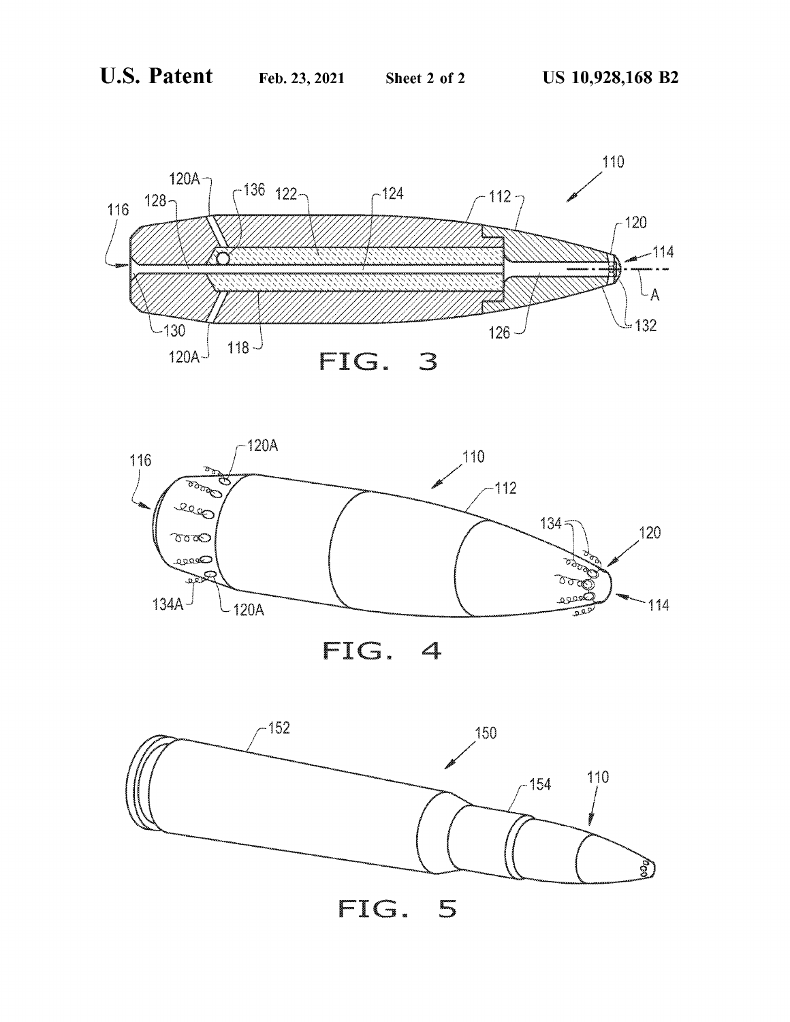



FIG. 4

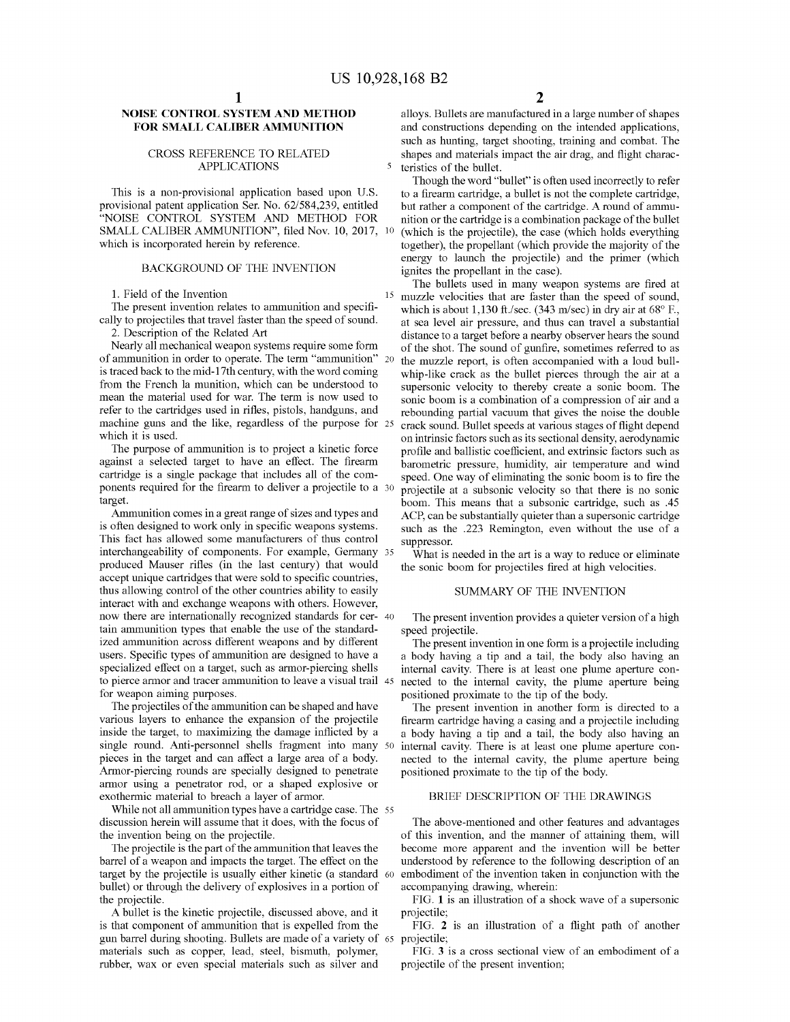"NOISE CONTROL SYSTEM AND METHOD FOR nition or the cartridge is a combination package of the bullet SMALL CALIBER AMMUNITION", filed Nov. 10, 2017,  $10$  (which is the projectile), the case (which holds everything which is incorporated herein by reference. the together), the propellant (which provide the majority of the

This fact has allowed some manufacturers of thus control<br>interchangeability of components. For example, Germany 35 What is needed in the art is a way to reduce or eliminate<br>produced Mauser rifles (in the last century) that interact with and exchange weapons with others. However,<br>now there are internationally recognized standards for cer- 40 The present invention provides a quieter version of a high<br>tain ammunition types that enable the use o specialized effect on a target, such as armor-piercing shells internal cavity. There is at least one plume aperture conto pierce armor and tracer ammunition to leave a visual trail 45 nected to the internal cavity, the plu users. Specific types of ammunition are designed to have a

for weapon aiming purposes.<br>The projectiles of the ammunition can be shaped and have<br>The present invention in another form is directed to a<br>various layers to enhance the expansion of the projectile<br>firearm cartridge having inside the target, to maximizing the damage inflicted by a<br>single round. Anti-personnel shells fragment into many 50 internal cavity. There is at least one plume aperture con-<br>pieces in the target and can affect a large ar Armor-piercing rounds are specially designed to penetrate positioned proximate to the tip of the body.<br>
armor using a penetrator rod, or a shaped explosive or<br>
exothermic material to breach a layer of armor. BRIEF DESCRIPT exothermic material to breach a layer of armor.

While not all ammunition types have a cartridge case. The 55 discussion herein will assume that it does, with the focus of

barrel of a weapon and impacts the target. The effect on the understood by reference to the following description of an target by the projectile is usually either kinetic (a standard 60 embodiment of the invention taken in the projectile is usually either kinetic ( accompanying drawing wherein: the projectile increase in contexplosives in a portion of a standard HG. 1 is an illustration of a sh

A bullet is the kinetic projectile, discussed above, and it is that component of ammunition that is expelled from the gun barrel during shooting. Bullets are made of a variety of 65 projectile;<br>materials such as copper, lead, steel, bismuth, polymer, FIG. 3 is a cross sectional view of an embodiment of a materials such as copper, lead, steel, bismuth, polymer, FIG. 3 is a cross sectional view rubber, wax or even special materials such as silver and projectile of the present invention; rubber, wax or even special materials such as silver and

NOISE CONTROL SYSTEM AND METHOD alloys. Bullets are manufactured in a large number of shapes<br>FOR SMALL CALIBER AMMUNITION and constructions depending on the intended applications, FOR SMALL CROSS REFERENCE TO RELATED<br>
shapes and materials impact the air drag, and flight charac-EFERENCE TO RELATED shapes and materials impact the air drag, and flight charac-<br>APPLICATIONS <sup>5</sup> teristics of the bullet.

Though the word "bullet" is often used incorrectly to refer<br>This is a non-provisional application based upon U.S.<br>provisional patent application Ser. No. 62/584,239, entitled but rather a component of the cartridge. A roun energy to launch the projectile) and the primer (which ignites the propellant in the case).

BACKGROUND OF THE INVENTION ignites the propellant in the case).<br>1. Field of the Invention 15 muzzle velocities that are faster than the speed of sound, The present invention relates to ammunition and specifi-<br>
The present invention relates to ammunition and specifi-<br>
The present invention relates to ammunition and specifi-<br>
cally to projectiles that travel faster than th mean the material used for war. The term is now used to somic boom is a combination of a compression of air and a refer to the cartridges used in rifles, pistols, handguns, and rebounding partial vacuum that gives the nois rebounding partial vacuum that gives the noise the double<br>machine guns and the like, regardless of the purpose for 25 crack sound. Bullet speeds at various stages of flight depend<br>which it is used.<br>The purpose of ammunitio target.<br>
Ammunition comes in a great range of sizes and types and<br>
is often designed to work only in specific weapons systems.<br>
This fact has allowed some manufacturers of thus control<br>
This fact has allowed some manufactu

discussion herein will assume that it does, with the focus of The above-mentioned and other features and advantages of this invention, and the manner of attaining them, will The projectile is the part of the ammunition tha

FIG. 1 is an illustration of a shock wave of a supersonic projectile.

FIG. 2 is an illustration of a flight path of another projectile;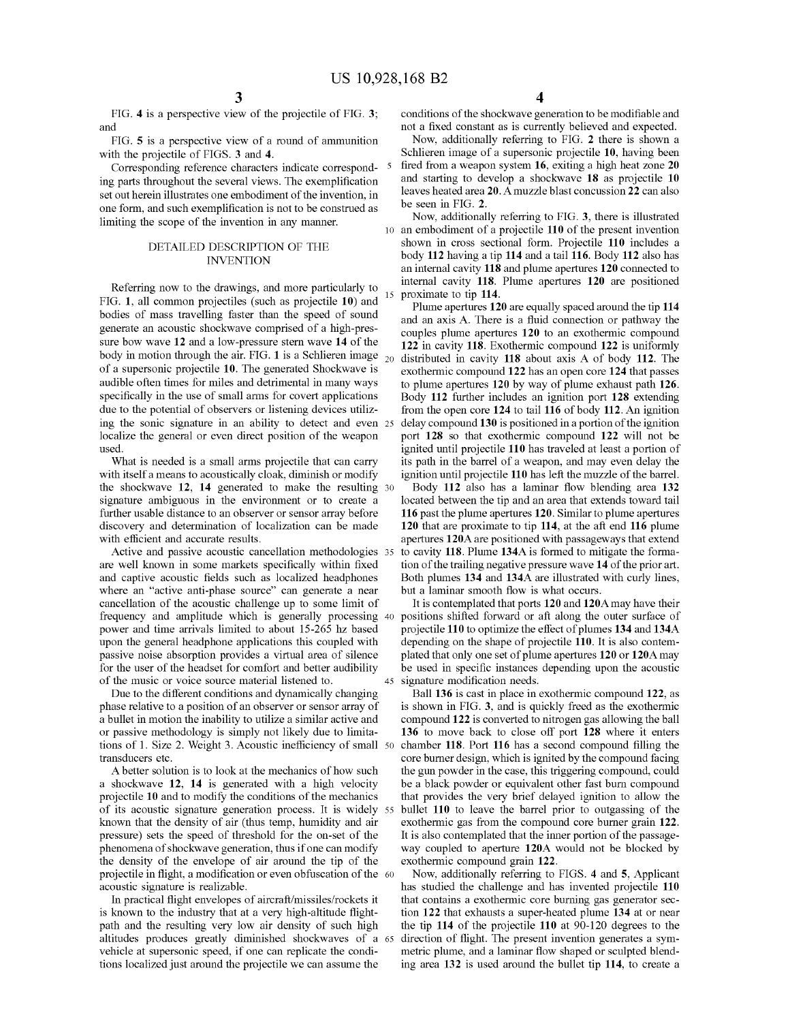ing parts throughout the several views. The exemplification set out herein illustrates one embodiment of the invention, in one form, and such exemplification is not to be construed as be seen in FIG. 2.<br>Now, additionally referring to FIG. 3, there is illustrated<br>imiting the scope of the invention in any manner. limiting the scope of the invention in any manner.

FIG. 1, all common projectiles (such as projective 10) and<br>bodies of mass travelling faster than the speed of sound<br>generate an acoustic shockwave comprised of a high-pres-<br>sure bow wave 12 and a low-pressure stern wave 1 or a supersonic projective 10. The generated Shockwave is<br>and detrimental in many ways<br>to plume apertures 120 by way of plume exhaust path 126.<br>Specifically in the use of small arms for covert applications<br>due to the poten

the shockwave 12, 14 generated to make the resulting 30 Body 112 also has a laminar flow blending area 132 signature ambiguous in the environment or to create a located between the tip and an area that extends toward tail signature ambiguous in the environment or to create a located between the tip and an area that extends toward tail further usable distance to an observer or sensor array before 116 past the plume apertures 120. Similar to

are well known in some markets specifically within fixed<br>and captive acoustic fields such as localized headphones<br>where an "active anti-phase source" can generate a near but a laminar smooth flow is what occurs.<br>cancellati projectile 110 to optimize the effect of plumes 134 and 134A upon the general headphone applications this coupled with depending on the shape of projectile 110. It is also contemupon the general headphone applications this coupled with depending on the shape of projectile 110. It is also contem-<br>passive noise absorption provides a virtual area of silence plated that only one set of plume apertures for the user of the headset for comfort and better audibility be used in specific instances depending upon the acoustic of the music or voice source material listened to. 45 signature modification needs.

phase relative to a position of an observer or sensor array of is shown in FIG. 3, and is quickly freed as the exothermic a bullet in motion the inability to utilize a similar active and compound 122 is converted to nitrog a bullet in motion the inability to utilize a similar active and compound 122 is converted to nitrogen gas allowing the ball or passive methodology is simply not likely due to limita-<br>136 to move back to close off port 128 tions of 1. Size 2. Weight 3. Acoustic inefficiency of small 50 chamber 118. Port 116 has a second compound filling the transducers etc.

A better solution is to look at the mechanics of how such the gun powder in the case, this triggering compound, could a shockwave 12, 14 is generated with a high velocity be a black powder or equivalent other fast burn com projectile 10 and to modify the conditions of the mechanics that provides the very brief delayed ignition to allow the of its acoustic signature generation process. It is widely 55 bullet 110 to leave the barrel prior to o or its acoustic signature generation process. It is whely 33 butter 110 to leave the barter prior to ougassing or the<br>hown that the density of air (thus temp, humidity and air exothermic gas from the compound core burner g

is known to the industry that at a very high-altitude flight-<br>
path and the resulting very low air density of such high the tip 114 of the projectile 110 at 90-120 degrees to the

FIG. 4 is a perspective view of the projectile of FIG. 3; conditions of the shockwave generation to be modifiable and and not a fixed constant as is currently believed and expected.

FIG. 5 is a perspective view of a round of ammunition Now, additionally referring to FIG. 2 there is shown a vith the projectile of FIGS. 3 and 4.<br>Schlieren image of a supersonic projectile 10, having been Schlieren image of a supersonic projectile 10, having been fired from a weapon system 16, exiting a high heat zone 20 Corresponding reference characters indicate correspond- 5 fired from a weapon system 16, exiting a high heat zone 20<br>
o parts throughout the several views. The exemplification and starting to develop a shockwave 18 as proj leaves heated area 20. A muzzle blast concussion 22 can also<br>be seen in FIG. 2.

10 an embodiment of a projectile 110 of the present invention<br>shown in cross sectional form. Projectile 110 includes a DETAILED DESCRIPTION OF THE shown in cross sectional form. Projectile 110 includes a INVENTION body 112 having a tip 114 and a tail 110. Body 112 also has an internal cavity 118 and plume apertures 120 connected to<br>Referring now to the drawings, and more particularly to<br>FIG. 1, all common projectiles (such as projectile 10) and<br> $\frac{15}{15}$  proximate to tip 114.

used.<br>
used is a small arms projectile that can carry<br>
its path in the barrel of a weapon, and may even delay the<br>
used is a small arms projectile that can carry<br>
its path in the barrel of a weapon, and may even delay the What is needed is a small arms projectile that can carry its path in the barrel of a weapon, and may even delay the with itself a means to acoustically cloak, diminish or modify ignition until projectile 110 has left the m

discovery and determination of localization can be made 120 that are proximate to tip 114, at the aft end 116 plume<br>with efficient and accurate results.<br>Active and passive accuration methodologies 35 to cavity 118. Plume 1 Active and passive acoustic cancellation methodologies 35 to cavity 118. Plume 134A is formed to mitigate the forma-<br>are well known in some markets specifically within fixed tion of the trailing negative pressure wave 14 o

Due to the different conditions and dynamically changing Ball 136 is cast in place in exothermic compound 122, as phase relative to a position of an observer or sensor array of is shown in FIG. 3, and is quickly freed as t 136 to move back to close off port 128 where it enters chamber 118. Port 116 has a second compound filling the

In practical flight envelopes of aircraft/missiles/rockets it that contains a exothermic core burning gas generator sec-<br>is known to the industry that at a very high-altitude flight-<br>tion 122 that exhausts a super-heated p altitudes produces greatly diminished shockwaves of a 65 direction of flight. The present invention generates a symvehicle at supersonic speed, if one can replicate the condi-<br>vehicle at supersonic speed, if one can replic ing area 132 is used around the bullet tip 114, to create a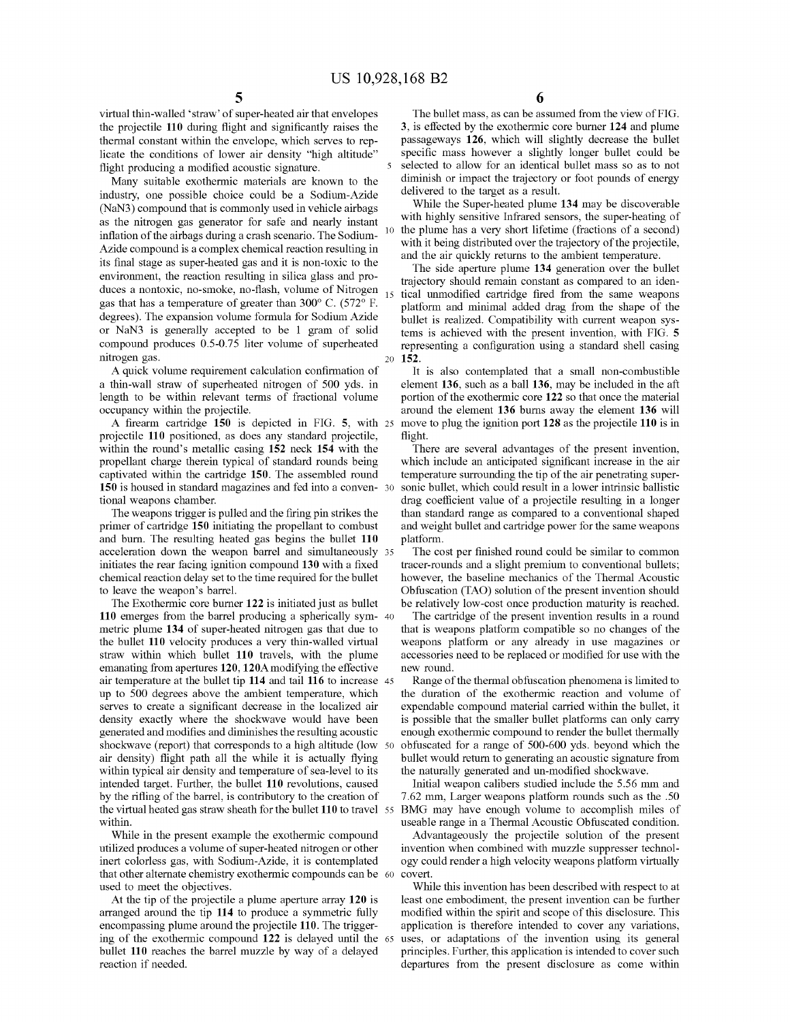virtual thin-walled 'straw' of super-heated air that envelopes The bullet mass, as can be assumed from the view of FIG.<br>the projectile 110 during flight and significantly raises the 3, is effected by the exothermic core bu

Many suitable exothermic materials are known to the diminish or impact the trajectory industry, one possible choice could be a Sodium-Azide delivered to the target as a result.  $\frac{(NaN3)}{NAD}$ ; one possible commonly used in vehicle airbags While the Super-heated plume 134 may be discoverable  $\frac{NAD}{}$  with highly sensitive Infrared sensors, the super-heating of as the nitrogen gas generator for safe and nearly instant with highly sensitive inflated sensors, the super-heating of inflation of the subsection as a very short lifetime (fractions of a second) inflation of the airbags during a crash scenario. The Sodium-<br>Azide compound is a complex chemical reaction resulting in<br>Azide compound is a complex chemical reaction resulting in<br> $\frac{10}{10}$  the projective development of Azide compound is a complex chemical reaction resulting in<br>its final stage as super-heated gas and it is non-toxic to the<br>environment, the reaction resulting in silica glass and pro-<br>trainotoxy should remain constant as co

a thin-wall straw of superheated nitrogen of 500 yds. in element 136, such as a ball 136, may be included in the aft length to be within relevant terms of fractional volume portion of the exothermic core 122 so that once t length to be within relevant terms of fractional volume portion of the exothermic core 122 so that once the material occupancy within the projectile.<br>around the element 136 burns away the element 136 will

initiates the rear facing ignition compound 130 with a fixed tracer-rounds and a slight premium to conventional bullets; chemical reaction delay set to the time required for the bullet however, the baseline mechanics of th chemical reaction delay set to the time required for the bullet however, the baseline mechanics of the Thermal Acoustic<br>to leave the weapon's barrel. Obfuscation (TAO) solution of the present invention should

110 emerges from the barrel producing a spherically sym-40 The cartridge of the present invention results in a round metric plume 134 of super-heated nitrogen gas that due to that is weapons platform compatible so no chang the bullet 110 velocity produces a very thin-walled virtual weapons platform or any already in use magazines or straw within which bullet 110 travels, with the plume accessories need to be replaced or modified for use with emanating from apertures 120, 120A modifying the effective new round.<br>air temperature at the bullet tip 114 and tail 116 to increase 45 Range of the thermal obfuscation phenomena is limited to<br>up to 500 degrees above the a up to 500 degrees above the ambient temperature, which the duration of the exothermic reaction and volume of serves to create a significant decrease in the localized air expendable compound material carried within the bull serves to create a significant decrease in the localized air expendable compound material carried within the bullet, it density exactly where the shockwave would have been is possible that the smaller bullet platforms can generated and modifies and diminishes the resulting acoustic enough exothermic compound to render the bullet thermally shockwave (report) that corresponds to a high altitude (low 50 obfuscated for a range of 500-600 yds. b within typical air density and temperature of sea-level to its<br>intended target. Further, the bullet 110 revolutions, caused<br>by the rifling of the barrel, is contributory to the creation of 7.62 mm, Larger weapons platform the virtual heated gas straw sheath for the bullet 110 to travel 55 BMG may have enough volume to accomplish miles of within.

Within.<br>
While in the present example the exothermic compound<br>
utilized produces a volume of super-heated nitrogen or other<br>
utilized produces a volume of super-heated nitrogen or other<br>
invention when combined with muzzle

At the tip of the projectile a plume aperture array 120 is least one embodiment, the present invention can be further arranged around the tip 114 to produce a symmetric fully modified within the spirit and scope of this di arranged around the tip 114 to produce a symmetric fully modified within the spirit and scope of this disclosure. This encompassing plume around the projectile 110. The trigger- application is therefore intended to cover a ing of the exothermic compound 122 is delayed until the 65 uses, or adaptations of the invention using its general<br>bullet 110 reaches the barrel muzzle by way of a delayed principles. Further, this application is intended

 $5 \hspace{2.5cm} 6$ 

flight producing a modified acoustic signature.<br>Many suitable exothermic materials are known to the diminish or impact the trajectory or foot pounds of energy

environment, the reaction resulting in silica glass and pro-<br>duces a nontoxic, no-smoke, no-flash, volume of Nitrogen<br>gas that has a temperature of greater than 300° C. (572° F.<br>degrees). The expansion volume formula for S or NaN3 is generally accepted to be 1 gram of solid<br>compound produces 0.5-0.75 liter volume of superheated<br>interesenting a configuration using a standard shell casing<br>introgen gas.<br>A quick volume requirement calculation co

cupancy within the projectile. around the element 136 burns away the element 136 will<br>A firearm cartridge 150 is depicted in FIG. 5, with 25 move to plug the ignition port 128 as the projectile 110 is in

A firearm cartridge 150 is depicted in FIG. 5, with 25 move to plug the ignition port 128 as the projectile 110 is in projectile 110 positioned, as does any standard projectile, the ight.<br>
which increase the present invent

leave the weapon's barrel.<br>The Exothermic core burner 122 is initiated just as bullet be relatively low-cost once production maturity is reached.

7.62 mm, Larger weapons platform rounds such as the .50 BMG may have enough volume to accomplish miles of

departures from the present disclosure as come within